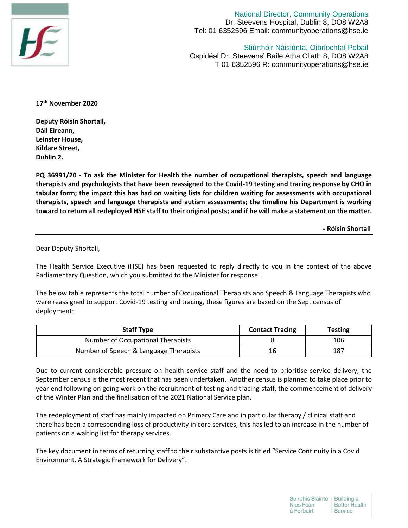

National Director, Community Operations Dr. Steevens Hospital, Dublin 8, DO8 W2A8 Tel: 01 6352596 Email: communityoperations@hse.ie

Stiúrthóir Náisiúnta, Oibríochtaí Pobail Ospidéal Dr. Steevens' Baile Atha Cliath 8, DO8 W2A8 T 01 6352596 R: communityoperations@hse.ie

**17th November 2020**

**Deputy Róisín Shortall, Dáil Eireann, Leinster House, Kildare Street, Dublin 2.**

**PQ 36991/20 - To ask the Minister for Health the number of occupational therapists, speech and language therapists and psychologists that have been reassigned to the Covid-19 testing and tracing response by CHO in tabular form; the impact this has had on waiting lists for children waiting for assessments with occupational therapists, speech and language therapists and autism assessments; the timeline his Department is working toward to return all redeployed HSE staff to their original posts; and if he will make a statement on the matter.**

 **- Róisín Shortall**

Dear Deputy Shortall,

The Health Service Executive (HSE) has been requested to reply directly to you in the context of the above Parliamentary Question, which you submitted to the Minister for response.

The below table represents the total number of Occupational Therapists and Speech & Language Therapists who were reassigned to support Covid-19 testing and tracing, these figures are based on the Sept census of deployment:

| <b>Staff Type</b>                      | <b>Contact Tracing</b> | <b>Testing</b> |
|----------------------------------------|------------------------|----------------|
| Number of Occupational Therapists      |                        | 106            |
| Number of Speech & Language Therapists | 16                     | 187            |

Due to current considerable pressure on health service staff and the need to prioritise service delivery, the September census is the most recent that has been undertaken. Another census is planned to take place prior to year end following on going work on the recruitment of testing and tracing staff, the commencement of delivery of the Winter Plan and the finalisation of the 2021 National Service plan.

The redeployment of staff has mainly impacted on Primary Care and in particular therapy / clinical staff and there has been a corresponding loss of productivity in core services, this has led to an increase in the number of patients on a waiting list for therapy services.

The key document in terms of returning staff to their substantive posts is titled "Service Continuity in a Covid Environment. A Strategic Framework for Delivery".